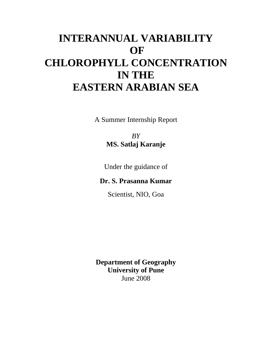# **INTERANNUAL VARIABILITY OF CHLOROPHYLL CONCENTRATION IN THE EASTERN ARABIAN SEA**

A Summer Internship Report

*BY*  **MS. Satlaj Karanje**

Under the guidance of

### **Dr. S. Prasanna Kumar**

Scientist, NIO, Goa

**Department of Geography University of Pune**  June 2008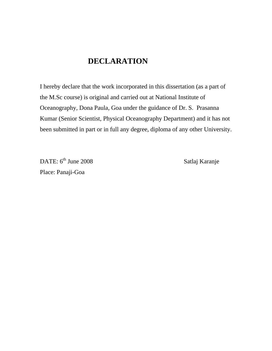### **DECLARATION**

I hereby declare that the work incorporated in this dissertation (as a part of the M.Sc course) is original and carried out at National Institute of Oceanography, Dona Paula, Goa under the guidance of Dr. S. Prasanna Kumar (Senior Scientist, Physical Oceanography Department) and it has not been submitted in part or in full any degree, diploma of any other University.

DATE: 6<sup>th</sup> June 2008 Satlaj Karanje Place: Panaji-Goa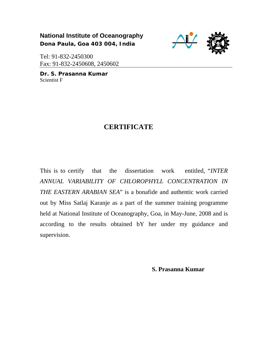#### **National Institute of Oceanography**  *Dona Paula, Goa 403 004, India*



Tel: 91-832-2450300 Fax: 91-832-2450608, 2450602

*Dr. S. Prasanna Kumar*  Scientist F

### **CERTIFICATE**

This is to certify that the dissertation work entitled, "*INTER ANNUAL VARIABILITY OF CHLOROPHYLL CONCENTRATION IN THE EASTERN ARABIAN SEA*" is a bonafide and authentic work carried out by Miss Satlaj Karanje as a part of the summer training programme held at National Institute of Oceanography, Goa, in May-June, 2008 and is according to the results obtained bY her under my guidance and supervision.

 **S. Prasanna Kumar**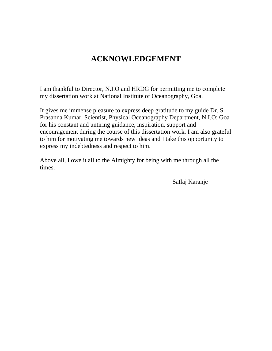# **ACKNOWLEDGEMENT**

I am thankful to Director, N.I.O and HRDG for permitting me to complete my dissertation work at National Institute of Oceanography, Goa.

It gives me immense pleasure to express deep gratitude to my guide Dr. S. Prasanna Kumar, Scientist, Physical Oceanography Department, N.I.O; Goa for his constant and untiring guidance, inspiration, support and encouragement during the course of this dissertation work. I am also grateful to him for motivating me towards new ideas and I take this opportunity to express my indebtedness and respect to him.

Above all, I owe it all to the Almighty for being with me through all the times.

Satlaj Karanje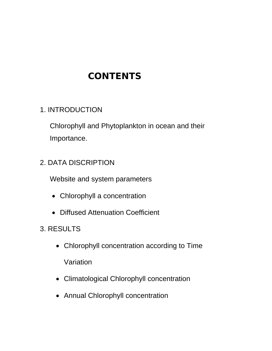# **CONTENTS**

### 1. INTRODUCTION

 Chlorophyll and Phytoplankton in ocean and their Importance.

## 2. DATA DISCRIPTION

Website and system parameters

- Chlorophyll a concentration
- Diffused Attenuation Coefficient

# 3. RESULTS

- Chlorophyll concentration according to Time Variation
- Climatological Chlorophyll concentration
- Annual Chlorophyll concentration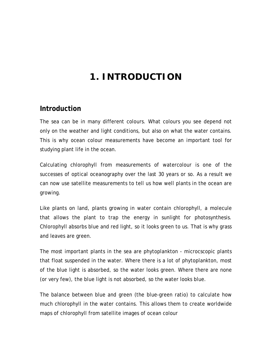# **1. INTRODUCTION**

#### **Introduction**

The sea can be in many different colours. What colours you see depend not only on the weather and light conditions, but also on what the water contains. This is why ocean colour measurements have become an important tool for studying plant life in the ocean.

Calculating chlorophyll from measurements of watercolour is one of the successes of optical oceanography over the last 30 years or so. As a result we can now use satellite measurements to tell us how well plants in the ocean are growing.

Like plants on land, plants growing in water contain chlorophyll, a molecule that allows the plant to trap the energy in sunlight for photosynthesis. Chlorophyll absorbs blue and red light, so it looks green to us. That is why grass and leaves are green.

The most important plants in the sea are phytoplankton - microcscopic plants that float suspended in the water. Where there is a lot of phytoplankton, most of the blue light is absorbed, so the water looks green. Where there are none (or very few), the blue light is not absorbed, so the water looks blue.

The balance between blue and green (the blue-green ratio) to calculate how much chlorophyll in the water contains. This allows them to create worldwide maps of chlorophyll from satellite images of ocean colour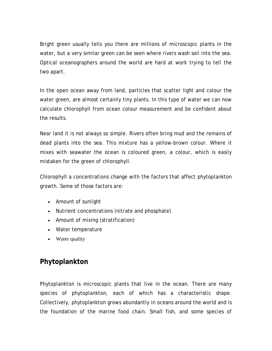Bright green usually tells you there are millions of microscopic plants in the water, but a very similar green can be seen where rivers wash soil into the sea. Optical oceanographers around the world are hard at work trying to tell the two apart.

In the open ocean away from land, particles that scatter light and colour the water green, are almost certainly tiny plants. In this type of water we can now calculate chlorophyll from ocean colour measurement and be confident about the results.

Near land it is not always so simple. Rivers often bring mud and the remains of dead plants into the sea. This mixture has a yellow-brown colour. Where it mixes with seawater the ocean is coloured green, a colour, which is easily mistaken for the green of chlorophyll.

Chlorophyll a concentrations change with the factors that affect phytoplankton growth. Some of those factors are:

- Amount of sunlight
- Nutrient concentrations (nitrate and phosphate)
- Amount of mixing (stratification)
- Water temperature
- Water quality

### **Phytoplankton**

Phytoplankton is microscopic plants that live in the ocean. There are many species of phytoplankton, each of which has a characteristic shape. Collectively, phytoplankton grows abundantly in oceans around the world and is the foundation of the marine food chain. Small fish, and some species of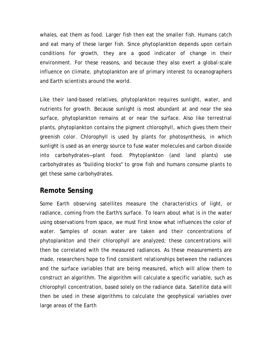whales, eat them as food. Larger fish then eat the smaller fish. Humans catch and eat many of these larger fish. Since phytoplankton depends upon certain conditions for growth, they are a good indicator of change in their environment. For these reasons, and because they also exert a global-scale influence on climate, phytoplankton are of primary interest to oceanographers and Earth scientists around the world.

Like their land-based relatives, phytoplankton requires sunlight, water, and nutrients for growth. Because sunlight is most abundant at and near the sea surface, phytoplankton remains at or near the surface. Also like terrestrial plants, phytoplankton contains the pigment chlorophyll, which gives them their greenish color. Chlorophyll is used by plants for photosynthesis, in which sunlight is used as an energy source to fuse water molecules and carbon dioxide into carbohydrates—plant food. Phytoplankton (and land plants) use carbohydrates as "building blocks" to grow fish and humans consume plants to get these same carbohydrates.

### **Remote Sensing**

Some Earth observing satellites measure the characteristics of light, or radiance, coming from the Earth's surface. To learn about what is in the water using observations from space, we must first know what influences the color of water. Samples of ocean water are taken and their concentrations of phytoplankton and their chlorophyll are analyzed; these concentrations will then be correlated with the measured radiances. As these measurements are made, researchers hope to find consistent relationships between the radiances and the surface variables that are being measured, which will allow them to construct an algorithm. The algorithm will calculate a specific variable, such as chlorophyll concentration, based solely on the radiance data. Satellite data will then be used in these algorithms to calculate the geophysical variables over large areas of the Earth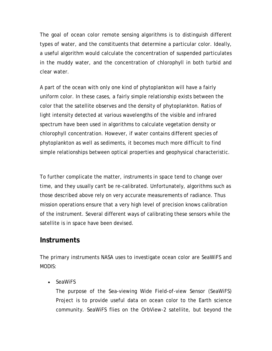The goal of ocean color remote sensing algorithms is to distinguish different types of water, and the constituents that determine a particular color. Ideally, a useful algorithm would calculate the concentration of suspended particulates in the muddy water, and the concentration of chlorophyll in both turbid and clear water.

A part of the ocean with only one kind of phytoplankton will have a fairly uniform color. In these cases, a fairly simple relationship exists between the color that the satellite observes and the density of phytoplankton. Ratios of light intensity detected at various wavelengths of the visible and infrared spectrum have been used in algorithms to calculate vegetation density or chlorophyll concentration. However, if water contains different species of phytoplankton as well as sediments, it becomes much more difficult to find simple relationships between optical properties and geophysical characteristic.

To further complicate the matter, instruments in space tend to change over time, and they usually can't be re-calibrated. Unfortunately, algorithms such as those described above rely on very accurate measurements of radiance. Thus mission operations ensure that a very high level of precision knows calibration of the instrument. Several different ways of calibrating these sensors while the satellite is in space have been devised.

### **Instruments**

The primary instruments NASA uses to investigate ocean color are SeaWiFS and MODIS:

• SeaWiFS

The purpose of the Sea-viewing Wide Field-of-view Sensor (SeaWiFS) Project is to provide useful data on ocean color to the Earth science community. SeaWiFS flies on the OrbView-2 satellite, but beyond the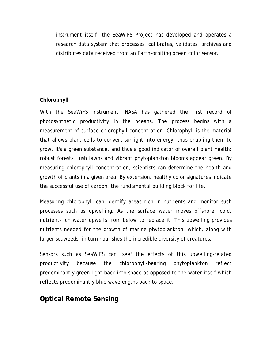instrument itself, the SeaWiFS Project has developed and operates a research data system that processes, calibrates, validates, archives and distributes data received from an Earth-orbiting ocean color sensor.

#### **Chlorophyll**

With the SeaWiFS instrument, NASA has gathered the first record of photosynthetic productivity in the oceans. The process begins with a measurement of surface chlorophyll concentration. Chlorophyll is the material that allows plant cells to convert sunlight into energy, thus enabling them to grow. It's a green substance, and thus a good indicator of overall plant health: robust forests, lush lawns and vibrant phytoplankton blooms appear green. By measuring chlorophyll concentration, scientists can determine the health and growth of plants in a given area. By extension, healthy color signatures indicate the successful use of carbon, the fundamental building block for life.

Measuring chlorophyll can identify areas rich in nutrients and monitor such processes such as upwelling. As the surface water moves offshore, cold, nutrient-rich water upwells from below to replace it. This upwelling provides nutrients needed for the growth of marine phytoplankton, which, along with larger seaweeds, in turn nourishes the incredible diversity of creatures.

Sensors such as SeaWiFS can "see" the effects of this upwelling-related productivity because the chlorophyll-bearing phytoplankton reflect predominantly green light back into space as opposed to the water itself which reflects predominantly blue wavelengths back to space.

### **Optical Remote Sensing**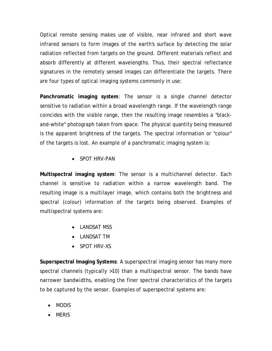Optical remote sensing makes use of visible, near infrared and short wave infrared sensors to form images of the earth's surface by detecting the solar radiation reflected from targets on the ground. Different materials reflect and absorb differently at different wavelengths. Thus, their spectral reflectance signatures in the remotely sensed images can differentiate the targets. There are four types of optical imaging systems commonly in use:

**Panchromatic imaging system**: The sensor is a single channel detector sensitive to radiation within a broad wavelength range. If the wavelength range coincides with the visible range, then the resulting image resembles a "blackand-white" photograph taken from space. The physical quantity being measured is the apparent brightness of the targets. The spectral information or "colour" of the targets is lost. An example of a panchromatic imaging system is:

• SPOT HRV-PAN

**Multispectral imaging system**: The sensor is a multichannel detector. Each channel is sensitive to radiation within a narrow wavelength band. The resulting image is a multilayer image, which contains both the brightness and spectral (colour) information of the targets being observed. Examples of multispectral systems are:

- LANDSAT MSS
- LANDSAT TM
- SPOT HRV-XS

**Superspectral Imaging Systems**: A superspectral imaging sensor has many more spectral channels (typically >10) than a multispectral sensor. The bands have narrower bandwidths, enabling the finer spectral characteristics of the targets to be captured by the sensor. Examples of superspectral systems are:

- MODIS
- MERIS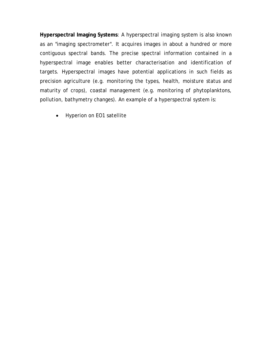**Hyperspectral Imaging Systems**: A hyperspectral imaging system is also known as an "imaging spectrometer". It acquires images in about a hundred or more contiguous spectral bands. The precise spectral information contained in a hyperspectral image enables better characterisation and identification of targets. Hyperspectral images have potential applications in such fields as precision agriculture (e.g. monitoring the types, health, moisture status and maturity of crops), coastal management (e.g. monitoring of phytoplanktons, pollution, bathymetry changes). An example of a hyperspectral system is:

• Hyperion on EO1 satellite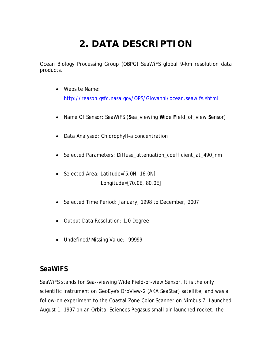# **2. DATA DESCRIPTION**

Ocean Biology Processing Group (OBPG) SeaWiFS global 9-km resolution data products.

- Website Name: http://reason.gsfc.nasa.gov/OPS/Giovanni/ocean.seawifs.shtml
- Name Of Sensor: SeaWiFS (**S**ea\_viewing **W**ide **F**ield\_of\_view **S**ensor)
- Data Analysed: Chlorophyll-a concentration
- Selected Parameters: Diffuse\_attenuation\_coefficient\_at\_490\_nm
- Selected Area: Latitude=[5.0N, 16.0N] Longitude=[70.0E, 80.0E]
- Selected Time Period: January, 1998 to December, 2007
- Output Data Resolution: 1.0 Degree
- Undefined/Missing Value: -99999

### **SeaWiFS**

SeaWiFS stands for Sea--viewing Wide Field-of-view Sensor. It is the only scientific instrument on GeoEye's OrbView-2 (AKA SeaStar) satellite, and was a follow-on experiment to the Coastal Zone Color Scanner on Nimbus 7. Launched August 1, 1997 on an Orbital Sciences Pegasus small air launched rocket, the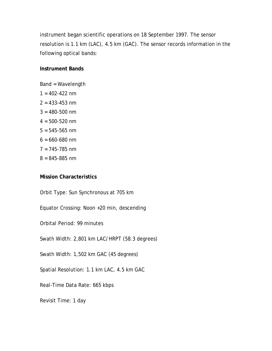instrument began scientific operations on 18 September 1997. The sensor resolution is 1.1 km (LAC), 4.5 km (GAC). The sensor records information in the following optical bands:

#### **Instrument Bands**

- Band = Wavelength
- $1 = 402 422$  nm
- $2 = 433 453$  nm
- $3 = 480 500$  nm
- $4 = 500 520$  nm
- $5 = 545 565$  nm
- $6 = 660 680$  nm
- $7 = 745 785$  nm
- $8 = 845 885$  nm

#### **Mission Characteristics**

Orbit Type: Sun Synchronous at 705 km

Equator Crossing: Noon +20 min, descending

Orbital Period: 99 minutes

Swath Width: 2,801 km LAC/HRPT (58.3 degrees)

Swath Width: 1,502 km GAC (45 degrees)

Spatial Resolution: 1.1 km LAC, 4.5 km GAC

Real-Time Data Rate: 665 kbps

Revisit Time: 1 day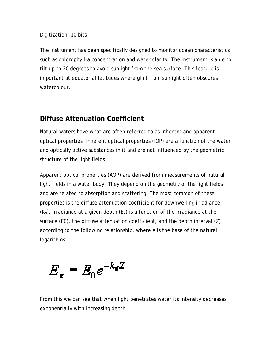#### Digitization: 10 bits

The instrument has been specifically designed to monitor ocean characteristics such as chlorophyll-a concentration and water clarity. The instrument is able to tilt up to 20 degrees to avoid sunlight from the sea surface. This feature is important at equatorial latitudes where glint from sunlight often obscures watercolour.

### **Diffuse Attenuation Coefficient**

Natural waters have what are often referred to as inherent and apparent optical properties. Inherent optical properties (IOP) are a function of the water and optically active substances in it and are not influenced by the geometric structure of the light fields.

Apparent optical properties (AOP) are derived from measurements of natural light fields in a water body. They depend on the geometry of the light fields and are related to absorption and scattering. The most common of these properties is the diffuse attenuation coefficient for downwelling irradiance  $(K_d)$ . Irradiance at a given depth  $(E<sub>Z</sub>)$  is a function of the irradiance at the surface (E0), the diffuse attenuation coefficient, and the depth interval (Z) according to the following relationship, where e is the base of the natural logarithms:

$$
E_{\rm z} = E_0 e^{-k_{\rm z} Z}
$$

From this we can see that when light penetrates water its intensity decreases exponentially with increasing depth.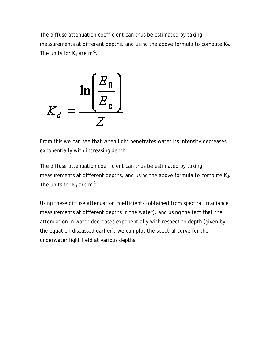The diffuse attenuation coefficient can thus be estimated by taking measurements at different depths, and using the above formula to compute  $K_d$ . The units for  $K_d$  are m<sup>-1</sup>.

$$
K_d = \frac{\ln\left(\frac{E_0}{E_z}\right)}{Z}
$$

From this we can see that when light penetrates water its intensity decreases exponentially with increasing depth.

The diffuse attenuation coefficient can thus be estimated by taking measurements at different depths, and using the above formula to compute  $K_d$ . The units for  $K_d$  are m<sup>-1</sup>

Using these diffuse attenuation coefficients (obtained from spectral irradiance measurements at different depths in the water), and using the fact that the attenuation in water decreases exponentially with respect to depth (given by the equation discussed earlier), we can plot the spectral curve for the underwater light field at various depths.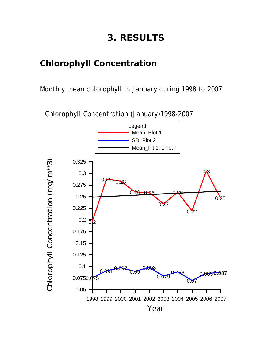# **3. RESULTS**

# **Chlorophyll Concentration**

Monthly mean chlorophyll in January during 1998 to 2007

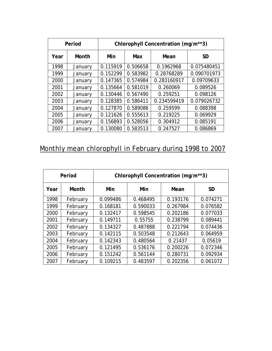|      | Period  | Chlorophyll Concentration (mg/m <sup>**</sup> 3) |          |             |             |  |
|------|---------|--------------------------------------------------|----------|-------------|-------------|--|
| Year | Month   | Min                                              | Max      | Mean        | <b>SD</b>   |  |
| 1998 | January | 0.115919                                         | 0.506658 | 0.1962968   | 0.075480451 |  |
| 1999 | January | 0.152299                                         | 0.583982 | 0.28768289  | 0.090701973 |  |
| 2000 | January | 0.147365                                         | 0.574984 | 0.283160917 | 0.09709633  |  |
| 2001 | January | 0.135664                                         | 0.581019 | 0.260069    | 0.089526    |  |
| 2002 | January | 0.130446                                         | 0.567490 | 0.259251    | 0.098126    |  |
| 2003 | January | 0.128385                                         | 0.586411 | 0.234599419 | 0.079026732 |  |
| 2004 | January | 0.127870                                         | 0.589086 | 0.259599    | 0.088398    |  |
| 2005 | January | 0.121626                                         | 0.555613 | 0.219225    | 0.069929    |  |
| 2006 | January | 0.156893                                         | 0.528056 | 0.304912    | 0.085191    |  |
| 2007 | January | 0.130080                                         | 0.583513 | 0.247527    | 0.086869    |  |

# Monthly mean chlorophyll in February during 1998 to 2007

|      | Period   | Chlorophyll Concentration (mg/m <sup>**</sup> 3) |          |          |           |  |
|------|----------|--------------------------------------------------|----------|----------|-----------|--|
| Year | Month    | Min                                              | Min      | Mean     | <b>SD</b> |  |
| 1998 | February | 0.099486                                         | 0.468495 | 0.193176 | 0.074271  |  |
| 1999 | February | 0.168181                                         | 0.590033 | 0.267984 | 0.076582  |  |
| 2000 | February | 0.132417                                         | 0.598545 | 0.202186 | 0.077033  |  |
| 2001 | February | 0.149711                                         | 0.55755  | 0.238799 | 0.089441  |  |
| 2002 | February | 0.134327                                         | 0.487888 | 0.221794 | 0.074436  |  |
| 2003 | February | 0.142115                                         | 0.503548 | 0.212643 | 0.064959  |  |
| 2004 | February | 0.142343                                         | 0.480564 | 0.21437  | 0.05619   |  |
| 2005 | February | 0.121495                                         | 0.536176 | 0.200226 | 0.072346  |  |
| 2006 | February | 0.151242                                         | 0.561144 | 0.280731 | 0.092934  |  |
| 2007 | February | 0.109215                                         | 0.483597 | 0.202356 | 0.061072  |  |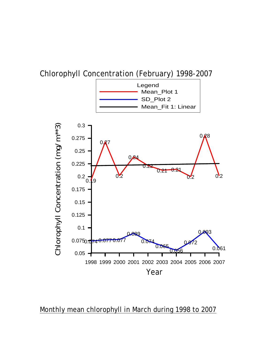

### Monthly mean chlorophyll in March during 1998 to 2007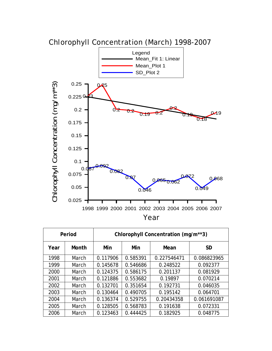

| Period |       | Chlorophyll Concentration (mg/m**3) |             |             |             |  |  |
|--------|-------|-------------------------------------|-------------|-------------|-------------|--|--|
| Year   | Month | Min                                 | Min<br>Mean |             | <b>SD</b>   |  |  |
| 1998   | March | 0.117906                            | 0.585391    | 0.227546471 | 0.086823965 |  |  |
| 1999   | March | 0.145678                            | 0.546686    | 0.248522    | 0.092377    |  |  |
| 2000   | March | 0.124375                            | 0.586175    | 0.201137    | 0.081929    |  |  |
| 2001   | March | 0.121886                            | 0.553682    | 0.19897     | 0.070214    |  |  |
| 2002   | March | 0.132701                            | 0.351654    | 0.192731    | 0.046035    |  |  |
| 2003   | March | 0.130464                            | 0.490705    | 0.195142    | 0.064701    |  |  |
| 2004   | March | 0.136374                            | 0.529755    | 0.20434358  | 0.061691087 |  |  |
| 2005   | March | 0.128505                            | 0.568783    | 0.191638    | 0.072331    |  |  |
| 2006   | March | 0.123463                            | 0.444425    | 0.182925    | 0.048775    |  |  |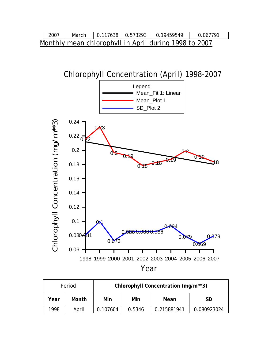

|      | Period | Chlorophyll Concentration (mg/m <sup>**</sup> 3) |        |             |             |
|------|--------|--------------------------------------------------|--------|-------------|-------------|
| Year | Month  | Min                                              | Min    |             | SD          |
| 1998 | April  | 0.107604                                         | 0.5346 | 0.215881941 | 0.080923024 |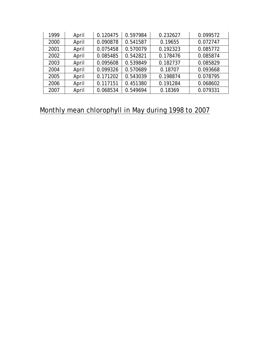| 1999 | April | 0.120475 | 0.597984 | 0.232627 | 0.099572 |
|------|-------|----------|----------|----------|----------|
| 2000 | April | 0.090878 | 0.541587 | 0.19655  | 0.072747 |
| 2001 | April | 0.075458 | 0.570079 | 0.192323 | 0.085772 |
| 2002 | April | 0.085485 | 0.542821 | 0.178476 | 0.085874 |
| 2003 | April | 0.095608 | 0.539849 | 0.182737 | 0.085829 |
| 2004 | April | 0.099326 | 0.570689 | 0.18707  | 0.093668 |
| 2005 | April | 0.171202 | 0.543039 | 0.198874 | 0.078795 |
| 2006 | April | 0.117151 | 0.451380 | 0.191284 | 0.068602 |
| 2007 | April | 0.068534 | 0.549694 | 0.18369  | 0.079331 |

# Monthly mean chlorophyll in May during 1998 to 2007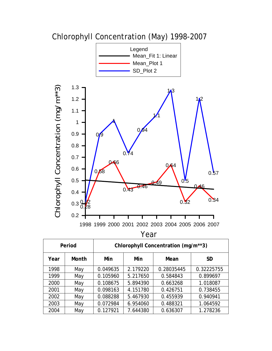

Year

| Period |       | Chlorophyll Concentration (mg/m <sup>**</sup> 3) |          |            |            |  |  |
|--------|-------|--------------------------------------------------|----------|------------|------------|--|--|
| Year   | Month | Min                                              | Min      | Mean       | <b>SD</b>  |  |  |
| 1998   | May   | 0.049635                                         | 2.179220 | 0.28035445 | 0.32225755 |  |  |
| 1999   | May   | 0.105960                                         | 5.217650 | 0.584843   | 0.899697   |  |  |
| 2000   | May   | 0.108675                                         | 5.894390 | 0.663268   | 1.018087   |  |  |
| 2001   | May   | 0.098163                                         | 4.151780 | 0.426751   | 0.738455   |  |  |
| 2002   | May   | 0.088288                                         | 5.467930 | 0.455939   | 0.940941   |  |  |
| 2003   | May   | 0.072984                                         | 6.954060 | 0.488321   | 1.064592   |  |  |
| 2004   | May   | 0.127921                                         | 7.644380 | 0.636307   | 1.278236   |  |  |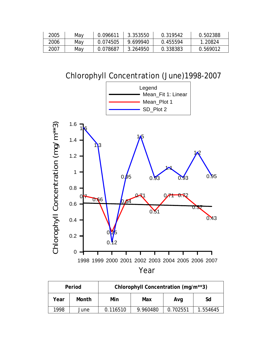| 2005 | May | 0.096611 | 3.353550 | 0.319542 | 0.502388 |
|------|-----|----------|----------|----------|----------|
| 2006 | May | 0.074505 | 9.699940 | 0.455594 | 1.20824  |
| 2007 | May | 0.078687 | 3.264950 | 0.338383 | 0.569012 |

# Chlorophyll Concentration (June)1998-2007



|      | Period | Chlorophyll Concentration (mg/m <sup>**</sup> 3) |          |          |          |
|------|--------|--------------------------------------------------|----------|----------|----------|
| Year | Month  | Min                                              | Max      |          | Sd       |
| 1998 | June   | 0.116510                                         | 9.960480 | 0.702551 | 1.554645 |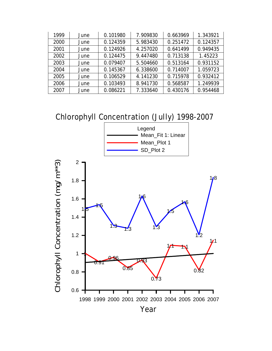| 1999 | June | 0.101980 | 7.909830 | 0.663969 | 1.343921 |
|------|------|----------|----------|----------|----------|
| 2000 | June | 0.124359 | 5.983430 | 0.251472 | 0.124357 |
| 2001 | June | 0.124926 | 4.257020 | 0.641499 | 0.949435 |
| 2002 | June | 0.124475 | 9.447480 | 0.713138 | 1.45223  |
| 2003 | June | 0.079407 | 5.504660 | 0.513164 | 0.931152 |
| 2004 | June | 0.145367 | 6.338600 | 0.714007 | 1.059723 |
| 2005 | June | 0.106529 | 4.141230 | 0.715978 | 0.932412 |
| 2006 | June | 0.103493 | 8.941730 | 0.568587 | 1.249939 |
| 2007 | June | 0.086221 | 7.333640 | 0.430176 | 0.954468 |

Chlorophyll Concentration (Jully) 1998-2007

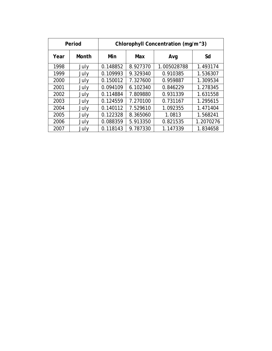| Period |       | Chlorophyll Concentration (mg/m^3) |          |             |           |  |  |
|--------|-------|------------------------------------|----------|-------------|-----------|--|--|
| Year   | Month | Min                                | Max      | Avg         | Sd        |  |  |
| 1998   | July  | 0.148852                           | 8.927370 | 1.005028788 | 1.493174  |  |  |
| 1999   | July  | 0.109993                           | 9.329340 | 0.910385    | 1.536307  |  |  |
| 2000   | July  | 0.150012                           | 7.327600 | 0.959887    | 1.309534  |  |  |
| 2001   | July  | 0.094109                           | 6.102340 | 0.846229    | 1.278345  |  |  |
| 2002   | July  | 0.114884                           | 7.809880 | 0.931339    | 1.631558  |  |  |
| 2003   | July  | 0.124559                           | 7.270100 | 0.731167    | 1.295615  |  |  |
| 2004   | July  | 0.140112                           | 7.529610 | 1.092355    | 1.471404  |  |  |
| 2005   | July  | 0.122328                           | 8.365060 | 1.0813      | 1.568241  |  |  |
| 2006   | July  | 0.088359                           | 5.913350 | 0.821535    | 1.2070276 |  |  |
| 2007   | July  | 0.118143                           | 9.787330 | 1.147339    | 1.834658  |  |  |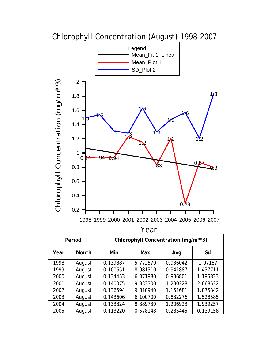

Year

|      | Period | Chlorophyll Concentration (mg/m**3) |          |          |          |
|------|--------|-------------------------------------|----------|----------|----------|
| Year | Month  | Min                                 | Max      |          | Sd       |
| 1998 | August | 0.139887                            | 5.772570 | 0.936042 | 1.07187  |
| 1999 | August | 0.100651                            | 8.981310 | 0.941887 | 1.437711 |
| 2000 | August | 0.134453                            | 6.371980 | 0.936801 | 1.195823 |
| 2001 | August | 0.140075                            | 9.833300 | 1.230228 | 2.068522 |
| 2002 | August | 0.136594                            | 9.810940 | 1.151681 | 1.875342 |
| 2003 | August | 0.143606                            | 6.100700 | 0.832276 | 1.528585 |
| 2004 | August | 0.133824                            | 8.389730 | 1.206923 | 1.939257 |
| 2005 | August | 0.113220                            | 0.578148 | 0.285445 | 0.139158 |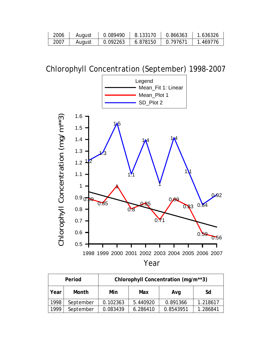| 2006 | August | 0.089490   | 8.133170 | $\vert$ 0.866363   1.636326 |          |
|------|--------|------------|----------|-----------------------------|----------|
| 2007 | August | $0.092263$ | 6.878150 | $\parallel$ 0.797671        | 1.469776 |

# Chlorophyll Concentration (September) 1998-2007



|               | Period    |          |          | Chlorophyll Concentration (mg/m <sup>**</sup> 3) |          |
|---------------|-----------|----------|----------|--------------------------------------------------|----------|
| Month<br>Year |           | Min      | Max      | Avg                                              | Sd       |
| 1998          | September | 0.102363 | 5.440920 | 0.891366                                         | 1.218617 |
| 1999          | September | 0.083439 | 6.286410 | 0.8543951                                        | 1.286841 |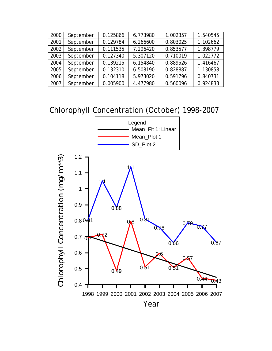| 2000 | September | 0.125866 | 6.773980 | 1.002357 | 1.540545 |
|------|-----------|----------|----------|----------|----------|
| 2001 | September | 0.129784 | 6.266600 | 0.803025 | 1.102662 |
| 2002 | September | 0.111535 | 7.296420 | 0.853577 | 1.398779 |
| 2003 | September | 0.127340 | 5.307120 | 0.710019 | 1.022772 |
| 2004 | September | 0.139215 | 6.154840 | 0.889526 | 1.416467 |
| 2005 | September | 0.132310 | 6.508190 | 0.828887 | 1.130858 |
| 2006 | September | 0.104118 | 5.973020 | 0.591796 | 0.840731 |
| 2007 | September | 0.005900 | 4.477980 | 0.560096 | 0.924833 |

Chlorophyll Concentration (October) 1998-2007

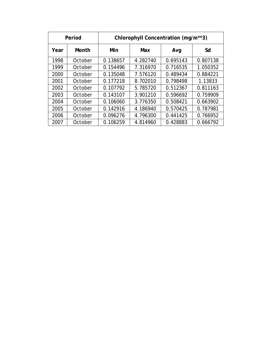| Period        |         | Chlorophyll Concentration (mg/m <sup>**</sup> 3) |          |          |          |  |  |
|---------------|---------|--------------------------------------------------|----------|----------|----------|--|--|
| Month<br>Year |         | Min                                              | Max      | Avg      | Sd       |  |  |
| 1998          | October | 0.138657                                         | 4.282740 | 0.695143 | 0.807138 |  |  |
| 1999          | October | 0.154496                                         | 7.316970 | 0.716535 | 1.050352 |  |  |
| 2000          | October | 0.135048                                         | 7.576120 | 0.489434 | 0.884221 |  |  |
| 2001          | October | 0.177218                                         | 8.702010 | 0.798498 | 1.13833  |  |  |
| 2002          | October | 0.107792                                         | 5.785720 | 0.512367 | 0.811163 |  |  |
| 2003          | October | 0.143107                                         | 3.901210 | 0.596692 | 0.759909 |  |  |
| 2004          | October | 0.106060                                         | 3.776350 | 0.508421 | 0.663902 |  |  |
| 2005          | October | 0.142916                                         | 4.186940 | 0.570425 | 0.787981 |  |  |
| 2006          | October | 0.096276                                         | 4.796300 | 0.441425 | 0.766952 |  |  |
| 2007          | October | 0.106259                                         | 4.814960 | 0.428883 | 0.666792 |  |  |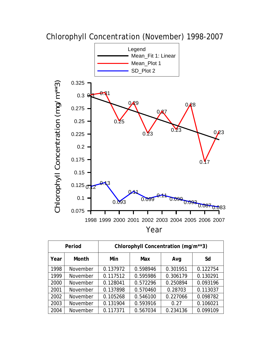



| Period |                 | Chlorophyll Concentration (mg/m <sup>**</sup> 3) |          |          |          |  |  |
|--------|-----------------|--------------------------------------------------|----------|----------|----------|--|--|
| Year   | Month           | Min                                              | Max      | Avg      | Sd       |  |  |
| 1998   | <b>November</b> | 0.137972                                         | 0.598946 | 0.301951 | 0.122754 |  |  |
| 1999   | <b>November</b> | 0.117512                                         | 0.595986 | 0.306179 | 0.130291 |  |  |
| 2000   | <b>November</b> | 0.128041                                         | 0.572296 | 0.250894 | 0.093196 |  |  |
| 2001   | <b>November</b> | 0.137898                                         | 0.570460 | 0.28703  | 0.113037 |  |  |
| 2002   | <b>November</b> | 0.105268                                         | 0.546100 | 0.227066 | 0.098782 |  |  |
| 2003   | <b>November</b> | 0.131904                                         | 0.593916 | 0.27     | 0.106021 |  |  |
| 2004   | November        | 0.117371                                         | 0.567034 | 0.234136 | 0.099109 |  |  |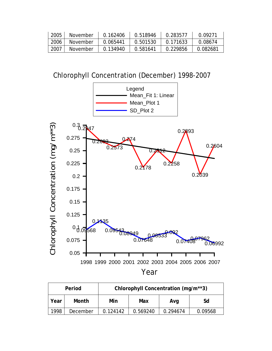| 2005 | November | 0.162406 | 0.518946 | 0.283577 | በ በ9271  |
|------|----------|----------|----------|----------|----------|
| 2006 | November | 0.065441 | 0.501530 | 0.171633 | 0.08674  |
| 2007 | November | 0.134940 | 0.581641 | 0.229856 | 0.082681 |

Chlorophyll Concentration (December) 1998-2007



|                  | Period | Chlorophyll Concentration (mg/m <sup>**</sup> 3) |          |          |         |
|------------------|--------|--------------------------------------------------|----------|----------|---------|
| Year<br>Month    |        | Min                                              | Max      | Avg      | Sd      |
| 1998<br>December |        | 0.124142                                         | 0.569240 | 0.294674 | 0.09568 |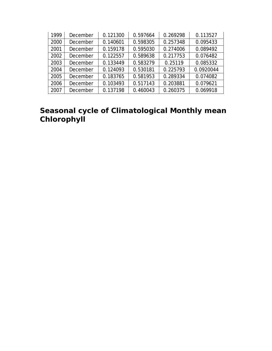| 1999 | December | 0.121300 | 0.597664 | 0.269298 | 0.113527  |
|------|----------|----------|----------|----------|-----------|
| 2000 | December | 0.140601 | 0.598305 | 0.257348 | 0.095433  |
| 2001 | December | 0.159178 | 0.595030 | 0.274006 | 0.089492  |
| 2002 | December | 0.122557 | 0.589638 | 0.217753 | 0.076482  |
| 2003 | December | 0.133449 | 0.583279 | 0.25119  | 0.085332  |
| 2004 | December | 0.124093 | 0.530181 | 0.225793 | 0.0920044 |
| 2005 | December | 0.183765 | 0.581953 | 0.289334 | 0.074082  |
| 2006 | December | 0.103493 | 0.517143 | 0.203881 | 0.079621  |
| 2007 | December | 0.137198 | 0.460043 | 0.260375 | 0.069918  |

# **Seasonal cycle of Climatological Monthly mean Chlorophyll**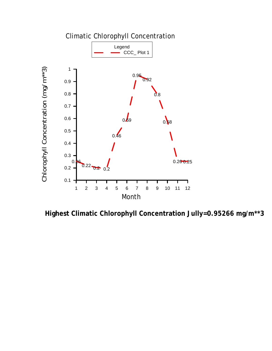

**Highest Climatic Chlorophyll Concentration Jully=0.95266 mg/m\*\*3**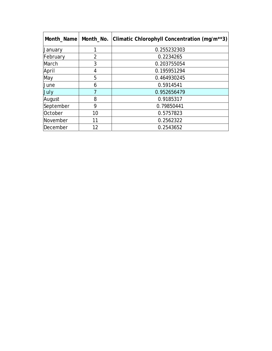| Month_Name | Month_No.      | Climatic Chlorophyll Concentration (mg/m <sup>**</sup> 3) |
|------------|----------------|-----------------------------------------------------------|
| January    |                | 0.255232303                                               |
| February   | $\overline{2}$ | 0.2234265                                                 |
| March      | 3              | 0.203755054                                               |
| April      | 4              | 0.195951294                                               |
| May        | 5              | 0.464930245                                               |
| June       | 6              | 0.5914541                                                 |
| July       |                | 0.952656479                                               |
| August     | 8              | 0.9185317                                                 |
| September  | 9              | 0.79850441                                                |
| October    | 10             | 0.5757823                                                 |
| November   | 11             | 0.2562322                                                 |
| December   | 12             | 0.2543652                                                 |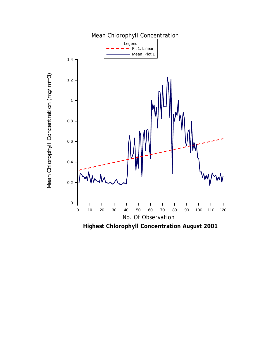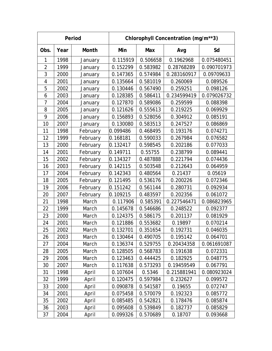| Period         |      |          | Chlorophyll Concentration (mg/m**3) |          |             |             |  |
|----------------|------|----------|-------------------------------------|----------|-------------|-------------|--|
| Obs.           | Year | Month    | Min                                 | Max      | Avg         | Sd          |  |
| 1              | 1998 | January  | 0.115919                            | 0.506658 | 0.1962968   | 0.075480451 |  |
| $\overline{2}$ | 1999 | January  | 0.152299                            | 0.583982 | 0.28768289  | 0.090701973 |  |
| 3              | 2000 | January  | 0.147365                            | 0.574984 | 0.283160917 | 0.09709633  |  |
| $\overline{4}$ | 2001 | January  | 0.135664                            | 0.581019 | 0.260069    | 0.089526    |  |
| 5              | 2002 | January  | 0.130446                            | 0.567490 | 0.259251    | 0.098126    |  |
| 6              | 2003 | January  | 0.128385                            | 0.586411 | 0.234599419 | 0.079026732 |  |
| $\overline{7}$ | 2004 | January  | 0.127870                            | 0.589086 | 0.259599    | 0.088398    |  |
| 8              | 2005 | January  | 0.121626                            | 0.555613 | 0.219225    | 0.069929    |  |
| 9              | 2006 | January  | 0.156893                            | 0.528056 | 0.304912    | 0.085191    |  |
| 10             | 2007 | January  | 0.130080                            | 0.583513 | 0.247527    | 0.086869    |  |
| 11             | 1998 | February | 0.099486                            | 0.468495 | 0.193176    | 0.074271    |  |
| 12             | 1999 | February | 0.168181                            | 0.590033 | 0.267984    | 0.076582    |  |
| 13             | 2000 | February | 0.132417                            | 0.598545 | 0.202186    | 0.077033    |  |
| 14             | 2001 | February | 0.149711                            | 0.55755  | 0.238799    | 0.089441    |  |
| 15             | 2002 | February | 0.134327                            | 0.487888 | 0.221794    | 0.074436    |  |
| 16             | 2003 | February | 0.142115                            | 0.503548 | 0.212643    | 0.064959    |  |
| 17             | 2004 | February | 0.142343                            | 0.480564 | 0.21437     | 0.05619     |  |
| 18             | 2005 | February | 0.121495                            | 0.536176 | 0.200226    | 0.072346    |  |
| 19             | 2006 | February | 0.151242                            | 0.561144 | 0.280731    | 0.092934    |  |
| 20             | 2007 | February | 0.109215                            | 0.483597 | 0.202356    | 0.061072    |  |
| 21             | 1998 | March    | 0.117906                            | 0.585391 | 0.227546471 | 0.086823965 |  |
| 22             | 1999 | March    | 0.145678                            | 0.546686 | 0.248522    | 0.092377    |  |
| 23             | 2000 | March    | 0.124375                            | 0.586175 | 0.201137    | 0.081929    |  |
| 24             | 2001 | March    | 0.121886                            | 0.553682 | 0.19897     | 0.070214    |  |
| 25             | 2002 | March    | 0.132701                            | 0.351654 | 0.192731    | 0.046035    |  |
| 26             | 2003 | March    | 0.130464                            | 0.490705 | 0.195142    | 0.064701    |  |
| 27             | 2004 | March    | 0.136374                            | 0.529755 | 0.20434358  | 0.061691087 |  |
| 28             | 2005 | March    | 0.128505                            | 0.568783 | 0.191638    | 0.072331    |  |
| 29             | 2006 | March    | 0.123463                            | 0.444425 | 0.182925    | 0.048775    |  |
| 30             | 2007 | March    | 0.117638                            | 0.573293 | 0.19459549  | 0.067791    |  |
| 31             | 1998 | April    | 0.107604                            | 0.5346   | 0.215881941 | 0.080923024 |  |
| 32             | 1999 | April    | 0.120475                            | 0.597984 | 0.232627    | 0.099572    |  |
| 33             | 2000 | April    | 0.090878                            | 0.541587 | 0.19655     | 0.072747    |  |
| 34             | 2001 | April    | 0.075458                            | 0.570079 | 0.192323    | 0.085772    |  |
| 35             | 2002 | April    | 0.085485                            | 0.542821 | 0.178476    | 0.085874    |  |
| 36             | 2003 | April    | 0.095608                            | 0.539849 | 0.182737    | 0.085829    |  |
| 37             | 2004 | April    | 0.099326                            | 0.570689 | 0.18707     | 0.093668    |  |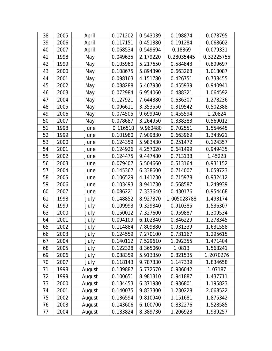| 38 | 2005 | April  | 0.171202 | 0.543039 | 0.198874    | 0.078795   |
|----|------|--------|----------|----------|-------------|------------|
| 39 | 2006 | April  | 0.117151 | 0.451380 | 0.191284    | 0.068602   |
| 40 | 2007 | April  | 0.068534 | 0.549694 | 0.18369     | 0.079331   |
| 41 | 1998 | May    | 0.049635 | 2.179220 | 0.28035445  | 0.32225755 |
| 42 | 1999 | May    | 0.105960 | 5.217650 | 0.584843    | 0.899697   |
| 43 | 2000 | May    | 0.108675 | 5.894390 | 0.663268    | 1.018087   |
| 44 | 2001 | May    | 0.098163 | 4.151780 | 0.426751    | 0.738455   |
| 45 | 2002 | May    | 0.088288 | 5.467930 | 0.455939    | 0.940941   |
| 46 | 2003 | May    | 0.072984 | 6.954060 | 0.488321    | 1.064592   |
| 47 | 2004 | May    | 0.127921 | 7.644380 | 0.636307    | 1.278236   |
| 48 | 2005 | May    | 0.096611 | 3.353550 | 0.319542    | 0.502388   |
| 49 | 2006 | May    | 0.074505 | 9.699940 | 0.455594    | 1.20824    |
| 50 | 2007 | May    | 0.078687 | 3.264950 | 0.338383    | 0.569012   |
| 51 | 1998 | June   | 0.116510 | 9.960480 | 0.702551    | 1.554645   |
| 52 | 1999 | June   | 0.101980 | 7.909830 | 0.663969    | 1.343921   |
| 53 | 2000 | June   | 0.124359 | 5.983430 | 0.251472    | 0.124357   |
| 54 | 2001 | June   | 0.124926 | 4.257020 | 0.641499    | 0.949435   |
| 55 | 2002 | June   | 0.124475 | 9.447480 | 0.713138    | 1.45223    |
| 56 | 2003 | June   | 0.079407 | 5.504660 | 0.513164    | 0.931152   |
| 57 | 2004 | June   | 0.145367 | 6.338600 | 0.714007    | 1.059723   |
| 58 | 2005 | June   | 0.106529 | 4.141230 | 0.715978    | 0.932412   |
| 59 | 2006 | June   | 0.103493 | 8.941730 | 0.568587    | 1.249939   |
| 60 | 2007 | June   | 0.086221 | 7.333640 | 0.430176    | 0.954468   |
| 61 | 1998 | July   | 0.148852 | 8.927370 | 1.005028788 | 1.493174   |
| 62 | 1999 | July   | 0.109993 | 9.329340 | 0.910385    | 1.536307   |
| 63 | 2000 | July   | 0.150012 | 7.327600 | 0.959887    | 1.309534   |
| 64 | 2001 | July   | 0.094109 | 6.102340 | 0.846229    | 1.278345   |
| 65 | 2002 | July   | 0.114884 | 7.809880 | 0.931339    | 1.631558   |
| 66 | 2003 | July   | 0.124559 | 7.270100 | 0.731167    | 1.295615   |
| 67 | 2004 | July   | 0.140112 | 7.529610 | 1.092355    | 1.471404   |
| 68 | 2005 | July   | 0.122328 | 8.365060 | 1.0813      | 1.568241   |
| 69 | 2006 | July   | 0.088359 | 5.913350 | 0.821535    | 1.2070276  |
| 70 | 2007 | July   | 0.118143 | 9.787330 | 1.147339    | 1.834658   |
| 71 | 1998 | August | 0.139887 | 5.772570 | 0.936042    | 1.07187    |
| 72 | 1999 | August | 0.100651 | 8.981310 | 0.941887    | 1.437711   |
| 73 | 2000 | August | 0.134453 | 6.371980 | 0.936801    | 1.195823   |
| 74 | 2001 | August | 0.140075 | 9.833300 | 1.230228    | 2.068522   |
| 75 | 2002 | August | 0.136594 | 9.810940 | 1.151681    | 1.875342   |
| 76 | 2003 | August | 0.143606 | 6.100700 | 0.832276    | 1.528585   |
| 77 | 2004 | August | 0.133824 | 8.389730 | 1.206923    | 1.939257   |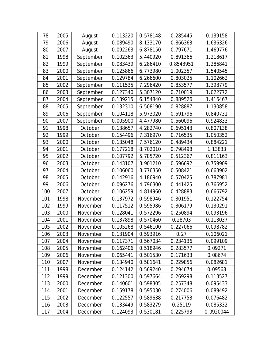| 78  | 2005 | August    | 0.113220 | 0.578148 | 0.285445  | 0.139158  |
|-----|------|-----------|----------|----------|-----------|-----------|
| 79  | 2006 | August    | 0.089490 | 8.133170 | 0.866363  | 1.636326  |
| 80  | 2007 | August    | 0.092263 | 6.878150 | 0.797671  | 1.469776  |
| 81  | 1998 | September | 0.102363 | 5.440920 | 0.891366  | 1.218617  |
| 82  | 1999 | September | 0.083439 | 6.286410 | 0.8543951 | 1.286841  |
| 83  | 2000 | September | 0.125866 | 6.773980 | 1.002357  | 1.540545  |
| 84  | 2001 | September | 0.129784 | 6.266600 | 0.803025  | 1.102662  |
| 85  | 2002 | September | 0.111535 | 7.296420 | 0.853577  | 1.398779  |
| 86  | 2003 | September | 0.127340 | 5.307120 | 0.710019  | 1.022772  |
| 87  | 2004 | September | 0.139215 | 6.154840 | 0.889526  | 1.416467  |
| 88  | 2005 | September | 0.132310 | 6.508190 | 0.828887  | 1.130858  |
| 89  | 2006 | September | 0.104118 | 5.973020 | 0.591796  | 0.840731  |
| 90  | 2007 | September | 0.005900 | 4.477980 | 0.560096  | 0.924833  |
| 91  | 1998 | October   | 0.138657 | 4.282740 | 0.695143  | 0.807138  |
| 92  | 1999 | October   | 0.154496 | 7.316970 | 0.716535  | 1.050352  |
| 93  | 2000 | October   | 0.135048 | 7.576120 | 0.489434  | 0.884221  |
| 94  | 2001 | October   | 0.177218 | 8.702010 | 0.798498  | 1.13833   |
| 95  | 2002 | October   | 0.107792 | 5.785720 | 0.512367  | 0.811163  |
| 96  | 2003 | October   | 0.143107 | 3.901210 | 0.596692  | 0.759909  |
| 97  | 2004 | October   | 0.106060 | 3.776350 | 0.508421  | 0.663902  |
| 98  | 2005 | October   | 0.142916 | 4.186940 | 0.570425  | 0.787981  |
| 99  | 2006 | October   | 0.096276 | 4.796300 | 0.441425  | 0.766952  |
| 100 | 2007 | October   | 0.106259 | 4.814960 | 0.428883  | 0.666792  |
| 101 | 1998 | November  | 0.137972 | 0.598946 | 0.301951  | 0.122754  |
| 102 | 1999 | November  | 0.117512 | 0.595986 | 0.306179  | 0.130291  |
| 103 | 2000 | November  | 0.128041 | 0.572296 | 0.250894  | 0.093196  |
| 104 | 2001 | November  | 0.137898 | 0.570460 | 0.28703   | 0.113037  |
| 105 | 2002 | November  | 0.105268 | 0.546100 | 0.227066  | 0.098782  |
| 106 | 2003 | November  | 0.131904 | 0.593916 | 0.27      | 0.106021  |
| 107 | 2004 | November  | 0.117371 | 0.567034 | 0.234136  | 0.099109  |
| 108 | 2005 | November  | 0.162406 | 0.518946 | 0.283577  | 0.09271   |
| 109 | 2006 | November  | 0.065441 | 0.501530 | 0.171633  | 0.08674   |
| 110 | 2007 | November  | 0.134940 | 0.581641 | 0.229856  | 0.082681  |
| 111 | 1998 | December  | 0.124142 | 0.569240 | 0.294674  | 0.09568   |
| 112 | 1999 | December  | 0.121300 | 0.597664 | 0.269298  | 0.113527  |
| 113 | 2000 | December  | 0.140601 | 0.598305 | 0.257348  | 0.095433  |
| 114 | 2001 | December  | 0.159178 | 0.595030 | 0.274006  | 0.089492  |
| 115 | 2002 | December  | 0.122557 | 0.589638 | 0.217753  | 0.076482  |
| 116 | 2003 | December  | 0.133449 | 0.583279 | 0.25119   | 0.085332  |
| 117 | 2004 | December  | 0.124093 | 0.530181 | 0.225793  | 0.0920044 |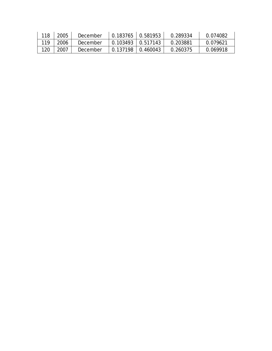| 118 | 2005 | December | $0.183765$   0.581953 | 0.289334 | 0.074082 |
|-----|------|----------|-----------------------|----------|----------|
| 119 | 2006 | December | $0.103493$   0.517143 | 0.203881 | 0.079621 |
| 120 | 2007 | December | $0.137198$   0.460043 | 0.260375 | 0.069918 |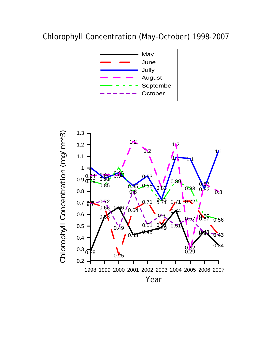# Chlorophyll Concentration (May-October) 1998-2007



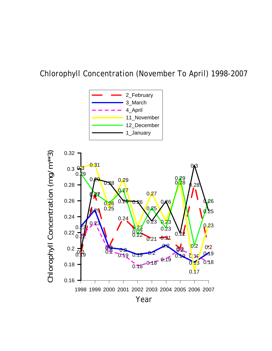# Chlorophyll Concentration (November To April) 1998-2007



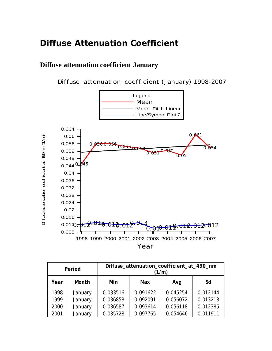# **Diffuse Attenuation Coefficient**

### **Diffuse attenuation coefficient January**

Diffuse\_attenuation\_coefficient (January) 1998-2007



| Diffuse_attenuation_coefficient_at_490_nm<br>Period<br>(1/m) |         |          |          |          |          |
|--------------------------------------------------------------|---------|----------|----------|----------|----------|
| Year                                                         | Month   | Min      | Max      | Avg      | Sd       |
| 1998                                                         | January | 0.033516 | 0.091622 | 0.045254 | 0.012144 |
| 1999                                                         | January | 0.036858 | 0.092091 | 0.056072 | 0.013218 |
| 2000                                                         | January | 0.036587 | 0.093614 | 0.056118 | 0.012385 |
| 2001                                                         | January | 0.035728 | 0.097765 | 0.054646 | 0.011911 |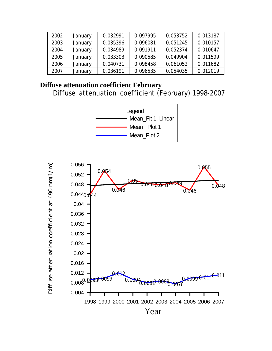| 2002 | January | 0.032991 | 0.097995 | 0.053752 | 0.013187 |
|------|---------|----------|----------|----------|----------|
| 2003 | January | 0.035396 | 0.096081 | 0.051245 | 0.010157 |
| 2004 | January | 0.034989 | 0.091911 | 0.052374 | 0.010647 |
| 2005 | January | 0.033303 | 0.090585 | 0.049904 | 0.011599 |
| 2006 | January | 0.040731 | 0.098458 | 0.061052 | 0.011682 |
| 2007 | January | 0.036191 | 0.096535 | 0.054035 | 0.012019 |

### **Diffuse attenuation coefficient February**

Diffuse\_attenuation\_coefficient (February) 1998-2007



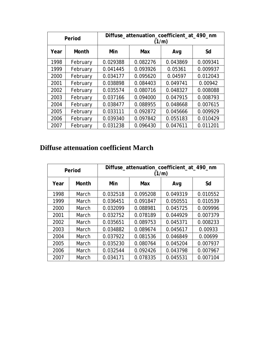| Period |          | Diffuse_attenuation_coefficient_at_490_nm<br>(1/m) |          |          |          |  |
|--------|----------|----------------------------------------------------|----------|----------|----------|--|
| Year   | Month    | Min                                                | Max      | Avq      | Sd       |  |
| 1998   | February | 0.029388                                           | 0.082276 | 0.043869 | 0.009341 |  |
| 1999   | February | 0.041445                                           | 0.093926 | 0.05361  | 0.009937 |  |
| 2000   | February | 0.034177                                           | 0.095620 | 0.04597  | 0.012043 |  |
| 2001   | February | 0.038898                                           | 0.084403 | 0.049741 | 0.00942  |  |
| 2002   | February | 0.035574                                           | 0.080716 | 0.048327 | 0.008088 |  |
| 2003   | February | 0.037166                                           | 0.094000 | 0.047915 | 0.008793 |  |
| 2004   | February | 0.038477                                           | 0.088955 | 0.048668 | 0.007615 |  |
| 2005   | February | 0.033111                                           | 0.092872 | 0.045666 | 0.009929 |  |
| 2006   | February | 0.039340                                           | 0.097842 | 0.055183 | 0.010429 |  |
| 2007   | February | 0.031238                                           | 0.096430 | 0.047611 | 0.011201 |  |

## **Diffuse attenuation coefficient March**

| Period |       | Diffuse_attenuation_coefficient_at_490_nm<br>(1/m) |          |          |          |  |
|--------|-------|----------------------------------------------------|----------|----------|----------|--|
| Year   | Month | Min                                                | Max      | Avg      | Sd       |  |
| 1998   | March | 0.032518                                           | 0.095208 | 0.049319 | 0.010552 |  |
| 1999   | March | 0.036451                                           | 0.091847 | 0.050551 | 0.010539 |  |
| 2000   | March | 0.032099                                           | 0.088981 | 0.045725 | 0.009996 |  |
| 2001   | March | 0.032752                                           | 0.078189 | 0.044929 | 0.007379 |  |
| 2002   | March | 0.035651                                           | 0.089753 | 0.045371 | 0.008233 |  |
| 2003   | March | 0.034882                                           | 0.089674 | 0.045617 | 0.00933  |  |
| 2004   | March | 0.037922                                           | 0.081536 | 0.046849 | 0.00699  |  |
| 2005   | March | 0.035230                                           | 0.080764 | 0.045204 | 0.007937 |  |
| 2006   | March | 0.032544                                           | 0.092426 | 0.043798 | 0.007967 |  |
| 2007   | March | 0.034171                                           | 0.078335 | 0.045531 | 0.007104 |  |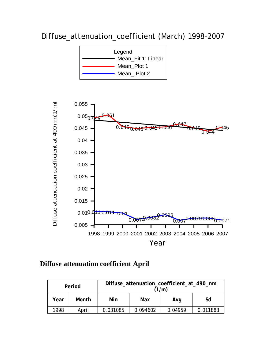### Diffuse\_attenuation\_coefficient (March) 1998-2007





#### **Diffuse attenuation coefficient April**

|      | Period | Diffuse_attenuation_coefficient_at_490_nm<br>(1/m) |          |         |          |
|------|--------|----------------------------------------------------|----------|---------|----------|
| Year | Month  | Min                                                | Max      | Avg     | Sd       |
| 1998 | April  | 0.031085                                           | 0.094602 | 0.04959 | 0.011888 |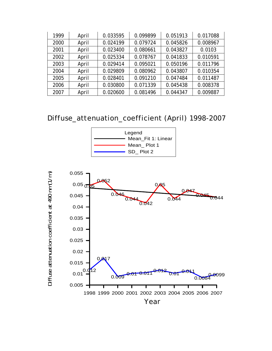| 1999 | April | 0.033595 | 0.099899 | 0.051913 | 0.017088 |
|------|-------|----------|----------|----------|----------|
| 2000 | April | 0.024199 | 0.079724 | 0.045826 | 0.008967 |
| 2001 | April | 0.023400 | 0.080661 | 0.043827 | 0.0103   |
| 2002 | April | 0.025334 | 0.078767 | 0.041833 | 0.010591 |
| 2003 | April | 0.029414 | 0.095021 | 0.050196 | 0.011796 |
| 2004 | April | 0.029809 | 0.080962 | 0.043807 | 0.010354 |
| 2005 | April | 0.028401 | 0.091210 | 0.047484 | 0.011487 |
| 2006 | April | 0.030800 | 0.071339 | 0.045438 | 0.008378 |
| 2007 | April | 0.020600 | 0.081496 | 0.044347 | 0.009887 |

### Diffuse\_attenuation\_coefficient (April) 1998-2007



1998 1999 2000 2001 2002 2003 2004 2005 2006 2007 Year  $0.005$ 0.01 0.015 0.02 0.025 0.03 0.035 0.04 0.045 0.05 0.05 0.055 1052 0.046 0.044 0.042 0A5 0.044 0.047  $0.044$  $0.012$ 0.017  $0.009$  0.01 0.011 0.012 0.01 0.011 0.008 0.0099

Diffuse attenuation coefficient at 490 nm(1/m)

Diffuse attenuation coefficient at 490 nm(1/m)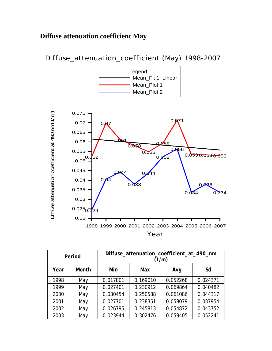### **Diffuse attenuation coefficient May**

Diffuse\_attenuation\_coefficient (May) 1998-2007



| Period |       | Diffuse_attenuation_coefficient_at_490_nm<br>(1/m) |          |          |          |  |
|--------|-------|----------------------------------------------------|----------|----------|----------|--|
| Year   | Month | Min                                                | Max      | Avg      | Sd       |  |
| 1998   | May   | 0.017801                                           | 0.169010 | 0.052268 | 0.024371 |  |
| 1999   | May   | 0.027401                                           | 0.230912 | 0.069864 | 0.040482 |  |
| 2000   | May   | 0.030454                                           | 0.250588 | 0.061086 | 0.044317 |  |
| 2001   | May   | 0.027701                                           | 0.238351 | 0.058079 | 0.037954 |  |
| 2002   | May   | 0.026795                                           | 0.245813 | 0.054872 | 0.043752 |  |
| 2003   | May   | 0.023944                                           | 0.302476 | 0.059405 | 0.052241 |  |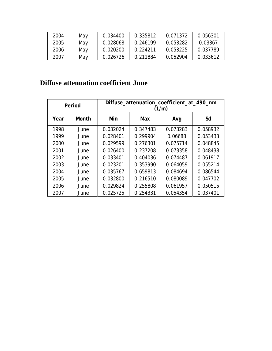| 2004 | May | 0.034400 | 0.335812 | 0 071372 | 0.056301 |
|------|-----|----------|----------|----------|----------|
| 2005 | May | 0.028068 | 0.246199 | 0.053282 | 0.03367  |
| 2006 | May | 0.020200 | 0.224211 | 0.053225 | 0.037789 |
| 2007 | May | 0.026726 | 0.211884 | 0.052904 | 0.033612 |

# **Diffuse attenuation coefficient June**

| Period |       | Diffuse_attenuation_coefficient_at_490_nm<br>(1/m) |          |          |          |  |
|--------|-------|----------------------------------------------------|----------|----------|----------|--|
| Year   | Month | Min                                                | Max      | Avq      | Sd       |  |
| 1998   | June  | 0.032024                                           | 0.347483 | 0.073283 | 0.058932 |  |
| 1999   | June  | 0.028401                                           | 0.299904 | 0.06688  | 0.053433 |  |
| 2000   | June  | 0.029599                                           | 0.276301 | 0.075714 | 0.048845 |  |
| 2001   | June  | 0.026400                                           | 0.237208 | 0.073358 | 0.048438 |  |
| 2002   | June  | 0.033401                                           | 0.404036 | 0.074487 | 0.061917 |  |
| 2003   | June  | 0.023201                                           | 0.353990 | 0.064059 | 0.055214 |  |
| 2004   | June  | 0.035767                                           | 0.659813 | 0.084694 | 0.086544 |  |
| 2005   | June  | 0.032800                                           | 0.216510 | 0.080089 | 0.047702 |  |
| 2006   | June  | 0.029824                                           | 0.255808 | 0.061957 | 0.050515 |  |
| 2007   | June  | 0.025725                                           | 0.254331 | 0.054354 | 0.037401 |  |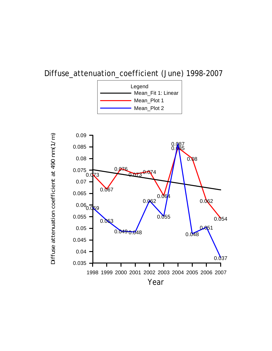

Diffuse\_attenuation\_coefficient (June) 1998-2007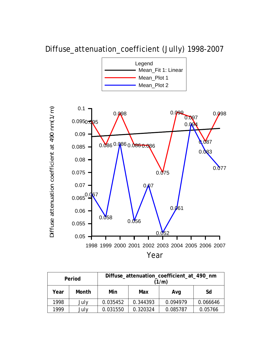Diffuse\_attenuation\_coefficient (Jully) 1998-2007



|      | Period | Diffuse_attenuation_coefficient_at_490_nm<br>(1/m) |          |          |          |
|------|--------|----------------------------------------------------|----------|----------|----------|
| Year | Month  | Min                                                | Max      | Avg      | Sd       |
| 1998 | July   | 0.035452                                           | 0.344393 | 0.094979 | 0.066646 |
| 1999 | July   | 0.031550                                           | 0.320324 | 0.085787 | 0.05766  |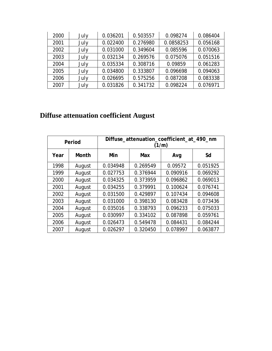| 2000 | July | 0.036201 | 0.503557 | 0.098274  | 0.086404 |
|------|------|----------|----------|-----------|----------|
| 2001 | July | 0.022400 | 0.276980 | 0.0858253 | 0.056168 |
| 2002 | July | 0.031000 | 0.349604 | 0.085596  | 0.070063 |
| 2003 | July | 0.032134 | 0.269576 | 0.075076  | 0.051516 |
| 2004 | July | 0.035334 | 0.308716 | 0.09859   | 0.061283 |
| 2005 | July | 0.034800 | 0.333807 | 0.096698  | 0.094063 |
| 2006 | July | 0.026695 | 0.575256 | 0.087208  | 0.083338 |
| 2007 | July | 0.031826 | 0.341732 | 0.098224  | 0.076971 |

# **Diffuse attenuation coefficient August**

| Period |        | Diffuse_attenuation_coefficient_at_490_nm<br>(1/m) |          |          |          |  |
|--------|--------|----------------------------------------------------|----------|----------|----------|--|
| Year   | Month  | Min                                                | Max      | Avg      | Sd       |  |
| 1998   | August | 0.034948                                           | 0.269549 | 0.09572  | 0.051925 |  |
| 1999   | August | 0.027753                                           | 0.376944 | 0.090916 | 0.069292 |  |
| 2000   | August | 0.034325                                           | 0.373959 | 0.096862 | 0.069013 |  |
| 2001   | August | 0.034255                                           | 0.379991 | 0.100624 | 0.076741 |  |
| 2002   | August | 0.031500                                           | 0.429897 | 0.107434 | 0.094608 |  |
| 2003   | August | 0.031000                                           | 0.398130 | 0.083428 | 0.073436 |  |
| 2004   | August | 0.035016                                           | 0.338793 | 0.096233 | 0.075033 |  |
| 2005   | August | 0.030997                                           | 0.334102 | 0.087898 | 0.059761 |  |
| 2006   | August | 0.026473                                           | 0.549478 | 0.084431 | 0.084244 |  |
| 2007   | August | 0.026297                                           | 0.320450 | 0.078997 | 0.063877 |  |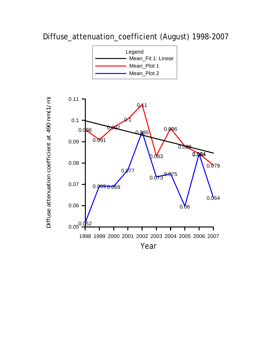# Diffuse\_attenuation\_coefficient (August) 1998-2007



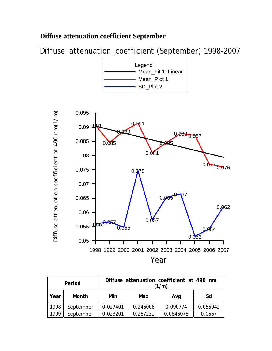### **Diffuse attenuation coefficient September**

Diffuse\_attenuation\_coefficient (September) 1998-2007





|      | Period    | Diffuse_attenuation_coefficient_at_490_nm<br>(1/m) |          |           |          |  |
|------|-----------|----------------------------------------------------|----------|-----------|----------|--|
| Year | Month     | Min                                                | Max      | Avg       | Sd       |  |
| 1998 | September | 0.027401                                           | 0.246006 | 0.090774  | 0.055942 |  |
| 1999 | September | 0.023201                                           | 0.267231 | 0.0846078 | 0.0567   |  |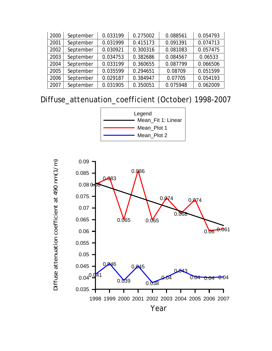| 2000 | September | 0.033199 | 0.275002 | 0.088561 | 0.054793 |
|------|-----------|----------|----------|----------|----------|
| 2001 | September | 0.031999 | 0.415173 | 0.091391 | 0.074713 |
| 2002 | September | 0.030921 | 0.300316 | 0.081083 | 0.057475 |
| 2003 | September | 0.034753 | 0.382686 | 0.084567 | 0.06533  |
| 2004 | September | 0.033199 | 0.360655 | 0.087799 | 0.066506 |
| 2005 | September | 0.035599 | 0.294651 | 0.08709  | 0.051599 |
| 2006 | September | 0.029187 | 0.384947 | 0.07705  | 0.054193 |
| 2007 | September | 0.031905 | 0.350051 | 0.075948 | 0.062009 |

# Diffuse\_attenuation\_coefficient (October) 1998-2007



0.09 Diffuse attenuation coefficient at 490 nm(1/m) Diffuse attenuation coefficient at 490 nm(1/m) 0.085 0.075 0.07 0.065 0.06 0.055 0.05 0.045 0.035

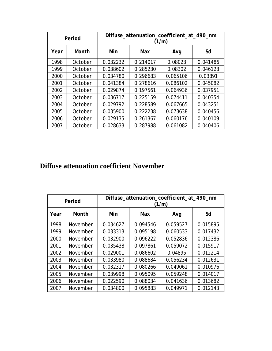| Period |         | Diffuse_attenuation_coefficient_at_490_nm<br>(1/m) |          |          |          |  |
|--------|---------|----------------------------------------------------|----------|----------|----------|--|
| Year   | Month   | Min                                                | Max      | Avg      | Sd       |  |
| 1998   | October | 0.032232                                           | 0.214017 | 0.08023  | 0.041486 |  |
| 1999   | October | 0.038602                                           | 0.285230 | 0.08302  | 0.046128 |  |
| 2000   | October | 0.034780                                           | 0.296683 | 0.065106 | 0.03891  |  |
| 2001   | October | 0.041384                                           | 0.278616 | 0.086102 | 0.045082 |  |
| 2002   | October | 0.029874                                           | 0.197561 | 0.064936 | 0.037951 |  |
| 2003   | October | 0.036717                                           | 0.225159 | 0.074411 | 0.040354 |  |
| 2004   | October | 0.029792                                           | 0.228589 | 0.067665 | 0.043251 |  |
| 2005   | October | 0.035900                                           | 0.222238 | 0.073638 | 0.040456 |  |
| 2006   | October | 0.029135                                           | 0.261367 | 0.060176 | 0.040109 |  |
| 2007   | October | 0.028633                                           | 0.287988 | 0.061082 | 0.040406 |  |

# **Diffuse attenuation coefficient November**

| Period |          | Diffuse_attenuation_coefficient_at_490_nm<br>(1/m) |          |          |          |  |
|--------|----------|----------------------------------------------------|----------|----------|----------|--|
| Year   | Month    | Min                                                | Max      | Avg      | Sd       |  |
| 1998   | November | 0.034627                                           | 0.094546 | 0.059527 | 0.015895 |  |
| 1999   | November | 0.033313                                           | 0.095198 | 0.060533 | 0.017432 |  |
| 2000   | November | 0.032900                                           | 0.096222 | 0.052836 | 0.012386 |  |
| 2001   | November | 0.035438                                           | 0.097861 | 0.059072 | 0.015917 |  |
| 2002   | November | 0.029001                                           | 0.086602 | 0.04895  | 0.012214 |  |
| 2003   | November | 0.033980                                           | 0.088684 | 0.056234 | 0.012631 |  |
| 2004   | November | 0.032317                                           | 0.080266 | 0.049061 | 0.010976 |  |
| 2005   | November | 0.039998                                           | 0.095095 | 0.059248 | 0.014017 |  |
| 2006   | November | 0.022590                                           | 0.088034 | 0.041636 | 0.013682 |  |
| 2007   | November | 0.034800                                           | 0.095883 | 0.049971 | 0.012143 |  |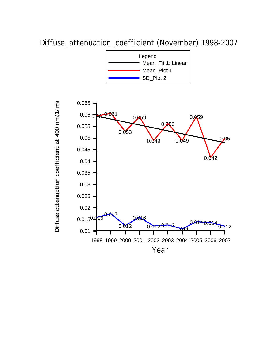# Diffuse\_attenuation\_coefficient (November) 1998-2007



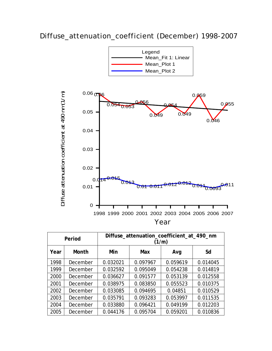### Diffuse\_attenuation\_coefficient (December) 1998-2007





| Period |          | Diffuse_attenuation_coefficient_at_490_nm<br>(1/m) |          |          |          |  |
|--------|----------|----------------------------------------------------|----------|----------|----------|--|
| Year   | Month    | Min                                                | Max      | Avq      | Sd       |  |
| 1998   | December | 0.032021                                           | 0.097967 | 0.059619 | 0.014045 |  |
| 1999   | December | 0.032592                                           | 0.095049 | 0.054238 | 0.014819 |  |
| 2000   | December | 0.036627                                           | 0.091577 | 0.053139 | 0.012558 |  |
| 2001   | December | 0.038975                                           | 0.083850 | 0.055523 | 0.010375 |  |
| 2002   | December | 0.033085                                           | 0.094695 | 0.04851  | 0.010529 |  |
| 2003   | December | 0.035791                                           | 0.093283 | 0.053997 | 0.011535 |  |
| 2004   | December | 0.033880                                           | 0.096421 | 0.049199 | 0.012203 |  |
| 2005   | December | 0.044176                                           | 0.095704 | 0.059201 | 0.010836 |  |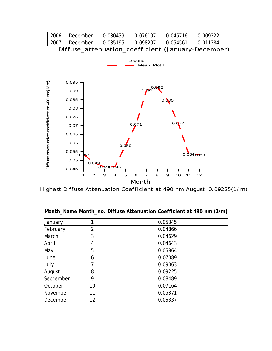

Highest Diffuse Attenuation Coefficient at 490 nm August=0.09225(1/m)

|           |    | Month_Name Month_no. Diffuse Attenuation Coefficient at 490 nm (1/m) |
|-----------|----|----------------------------------------------------------------------|
| January   |    | 0.05345                                                              |
| February  | 2  | 0.04866                                                              |
| March     | 3  | 0.04629                                                              |
| April     | 4  | 0.04643                                                              |
| May       | 5  | 0.05864                                                              |
| June      | 6  | 0.07089                                                              |
| July      |    | 0.09063                                                              |
| August    | 8  | 0.09225                                                              |
| September | 9  | 0.08489                                                              |
| October   | 10 | 0.07164                                                              |
| November  | 11 | 0.05371                                                              |
| December  | 12 | 0.05337                                                              |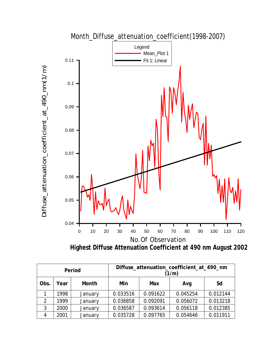

| Highest Diffuse Attenuation Coefficient at 490 nm August 2002 |  |  |  |
|---------------------------------------------------------------|--|--|--|
|                                                               |  |  |  |

| Period |      |         | Diffuse_attenuation_coefficient_at_490_nm<br>(1/m) |          |          |          |
|--------|------|---------|----------------------------------------------------|----------|----------|----------|
| Obs.   | Year | Month   | Min                                                | Max      | Avg      | Sd       |
|        | 1998 | January | 0.033516                                           | 0.091622 | 0.045254 | 0.012144 |
| 2      | 1999 | January | 0.036858                                           | 0.092091 | 0.056072 | 0.013218 |
| 3      | 2000 | January | 0.036587                                           | 0.093614 | 0.056118 | 0.012385 |
| 4      | 2001 | January | 0.035728                                           | 0.097765 | 0.054646 | 0.011911 |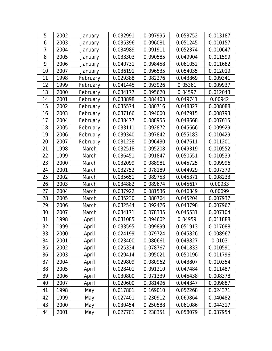| 5              | 2002 | January  | 0.032991 | 0.097995 | 0.053752 | 0.013187 |
|----------------|------|----------|----------|----------|----------|----------|
| 6              | 2003 | January  | 0.035396 | 0.096081 | 0.051245 | 0.010157 |
| $\overline{7}$ | 2004 | January  | 0.034989 | 0.091911 | 0.052374 | 0.010647 |
| 8              | 2005 | January  | 0.033303 | 0.090585 | 0.049904 | 0.011599 |
| 9              | 2006 | January  | 0.040731 | 0.098458 | 0.061052 | 0.011682 |
| 10             | 2007 | January  | 0.036191 | 0.096535 | 0.054035 | 0.012019 |
| 11             | 1998 | February | 0.029388 | 0.082276 | 0.043869 | 0.009341 |
| 12             | 1999 | February | 0.041445 | 0.093926 | 0.05361  | 0.009937 |
| 13             | 2000 | February | 0.034177 | 0.095620 | 0.04597  | 0.012043 |
| 14             | 2001 | February | 0.038898 | 0.084403 | 0.049741 | 0.00942  |
| 15             | 2002 | February | 0.035574 | 0.080716 | 0.048327 | 0.008088 |
| 16             | 2003 | February | 0.037166 | 0.094000 | 0.047915 | 0.008793 |
| 17             | 2004 | February | 0.038477 | 0.088955 | 0.048668 | 0.007615 |
| 18             | 2005 | February | 0.033111 | 0.092872 | 0.045666 | 0.009929 |
| 19             | 2006 | February | 0.039340 | 0.097842 | 0.055183 | 0.010429 |
| 20             | 2007 | February | 0.031238 | 0.096430 | 0.047611 | 0.011201 |
| 21             | 1998 | March    | 0.032518 | 0.095208 | 0.049319 | 0.010552 |
| 22             | 1999 | March    | 0.036451 | 0.091847 | 0.050551 | 0.010539 |
| 23             | 2000 | March    | 0.032099 | 0.088981 | 0.045725 | 0.009996 |
| 24             | 2001 | March    | 0.032752 | 0.078189 | 0.044929 | 0.007379 |
| 25             | 2002 | March    | 0.035651 | 0.089753 | 0.045371 | 0.008233 |
| 26             | 2003 | March    | 0.034882 | 0.089674 | 0.045617 | 0.00933  |
| 27             | 2004 | March    | 0.037922 | 0.081536 | 0.046849 | 0.00699  |
| 28             | 2005 | March    | 0.035230 | 0.080764 | 0.045204 | 0.007937 |
| 29             | 2006 | March    | 0.032544 | 0.092426 | 0.043798 | 0.007967 |
| 30             | 2007 | March    | 0.034171 | 0.078335 | 0.045531 | 0.007104 |
| 31             | 1998 | April    | 0.031085 | 0.094602 | 0.04959  | 0.011888 |
| 32             | 1999 | April    | 0.033595 | 0.099899 | 0.051913 | 0.017088 |
| 33             | 2000 | April    | 0.024199 | 0.079724 | 0.045826 | 0.008967 |
| 34             | 2001 | April    | 0.023400 | 0.080661 | 0.043827 | 0.0103   |
| 35             | 2002 | April    | 0.025334 | 0.078767 | 0.041833 | 0.010591 |
| 36             | 2003 | April    | 0.029414 | 0.095021 | 0.050196 | 0.011796 |
| 37             | 2004 | April    | 0.029809 | 0.080962 | 0.043807 | 0.010354 |
| 38             | 2005 | April    | 0.028401 | 0.091210 | 0.047484 | 0.011487 |
| 39             | 2006 | April    | 0.030800 | 0.071339 | 0.045438 | 0.008378 |
| 40             | 2007 | April    | 0.020600 | 0.081496 | 0.044347 | 0.009887 |
| 41             | 1998 | May      | 0.017801 | 0.169010 | 0.052268 | 0.024371 |
| 42             | 1999 | May      | 0.027401 | 0.230912 | 0.069864 | 0.040482 |
| 43             | 2000 | May      | 0.030454 | 0.250588 | 0.061086 | 0.044317 |
| 44             | 2001 | May      | 0.027701 | 0.238351 | 0.058079 | 0.037954 |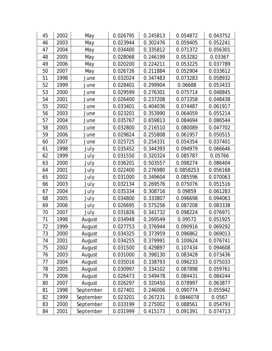| 45 | 2002 | May       | 0.026795 | 0.245813 | 0.054872  | 0.043752 |
|----|------|-----------|----------|----------|-----------|----------|
| 46 | 2003 | May       | 0.023944 | 0.302476 | 0.059405  | 0.052241 |
| 47 | 2004 | May       | 0.034400 | 0.335812 | 0.071372  | 0.056301 |
| 48 | 2005 | May       | 0.028068 | 0.246199 | 0.053282  | 0.03367  |
| 49 | 2006 | May       | 0.020200 | 0.224211 | 0.053225  | 0.037789 |
| 50 | 2007 | May       | 0.026726 | 0.211884 | 0.052904  | 0.033612 |
| 51 | 1998 | June      | 0.032024 | 0.347483 | 0.073283  | 0.058932 |
| 52 | 1999 | June      | 0.028401 | 0.299904 | 0.06688   | 0.053433 |
| 53 | 2000 | June      | 0.029599 | 0.276301 | 0.075714  | 0.048845 |
| 54 | 2001 | June      | 0.026400 | 0.237208 | 0.073358  | 0.048438 |
| 55 | 2002 | June      | 0.033401 | 0.404036 | 0.074487  | 0.061917 |
| 56 | 2003 | June      | 0.023201 | 0.353990 | 0.064059  | 0.055214 |
| 57 | 2004 | June      | 0.035767 | 0.659813 | 0.084694  | 0.086544 |
| 58 | 2005 | June      | 0.032800 | 0.216510 | 0.080089  | 0.047702 |
| 59 | 2006 | June      | 0.029824 | 0.255808 | 0.061957  | 0.050515 |
| 60 | 2007 | June      | 0.025725 | 0.254331 | 0.054354  | 0.037401 |
| 61 | 1998 | July      | 0.035452 | 0.344393 | 0.094979  | 0.066646 |
| 62 | 1999 | July      | 0.031550 | 0.320324 | 0.085787  | 0.05766  |
| 63 | 2000 | July      | 0.036201 | 0.503557 | 0.098274  | 0.086404 |
| 64 | 2001 | July      | 0.022400 | 0.276980 | 0.0858253 | 0.056168 |
| 65 | 2002 | July      | 0.031000 | 0.349604 | 0.085596  | 0.070063 |
| 66 | 2003 | July      | 0.032134 | 0.269576 | 0.075076  | 0.051516 |
| 67 | 2004 | July      | 0.035334 | 0.308716 | 0.09859   | 0.061283 |
| 68 | 2005 | July      | 0.034800 | 0.333807 | 0.096698  | 0.094063 |
| 69 | 2006 | July      | 0.026695 | 0.575256 | 0.087208  | 0.083338 |
| 70 | 2007 | July      | 0.031826 | 0.341732 | 0.098224  | 0.076971 |
| 71 | 1998 | August    | 0.034948 | 0.269549 | 0.09572   | 0.051925 |
| 72 | 1999 | August    | 0.027753 | 0.376944 | 0.090916  | 0.069292 |
| 73 | 2000 | August    | 0.034325 | 0.373959 | 0.096862  | 0.069013 |
| 74 | 2001 | August    | 0.034255 | 0.379991 | 0.100624  | 0.076741 |
| 75 | 2002 | August    | 0.031500 | 0.429897 | 0.107434  | 0.094608 |
| 76 | 2003 | August    | 0.031000 | 0.398130 | 0.083428  | 0.073436 |
| 77 | 2004 | August    | 0.035016 | 0.338793 | 0.096233  | 0.075033 |
| 78 | 2005 | August    | 0.030997 | 0.334102 | 0.087898  | 0.059761 |
| 79 | 2006 | August    | 0.026473 | 0.549478 | 0.084431  | 0.084244 |
| 80 | 2007 | August    | 0.026297 | 0.320450 | 0.078997  | 0.063877 |
| 81 | 1998 | September | 0.027401 | 0.246006 | 0.090774  | 0.055942 |
| 82 | 1999 | September | 0.023201 | 0.267231 | 0.0846078 | 0.0567   |
| 83 | 2000 | September | 0.033199 | 0.275002 | 0.088561  | 0.054793 |
| 84 | 2001 | September | 0.031999 | 0.415173 | 0.091391  | 0.074713 |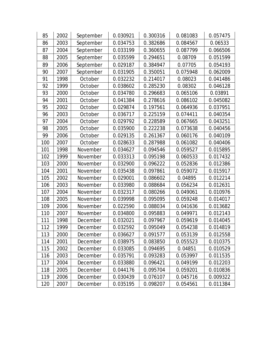| 85  | 2002 | September | 0.030921 | 0.300316 | 0.081083 | 0.057475 |
|-----|------|-----------|----------|----------|----------|----------|
| 86  | 2003 | September | 0.034753 | 0.382686 | 0.084567 | 0.06533  |
| 87  | 2004 | September | 0.033199 | 0.360655 | 0.087799 | 0.066506 |
| 88  | 2005 | September | 0.035599 | 0.294651 | 0.08709  | 0.051599 |
| 89  | 2006 | September | 0.029187 | 0.384947 | 0.07705  | 0.054193 |
| 90  | 2007 | September | 0.031905 | 0.350051 | 0.075948 | 0.062009 |
| 91  | 1998 | October   | 0.032232 | 0.214017 | 0.08023  | 0.041486 |
| 92  | 1999 | October   | 0.038602 | 0.285230 | 0.08302  | 0.046128 |
| 93  | 2000 | October   | 0.034780 | 0.296683 | 0.065106 | 0.03891  |
| 94  | 2001 | October   | 0.041384 | 0.278616 | 0.086102 | 0.045082 |
| 95  | 2002 | October   | 0.029874 | 0.197561 | 0.064936 | 0.037951 |
| 96  | 2003 | October   | 0.036717 | 0.225159 | 0.074411 | 0.040354 |
| 97  | 2004 | October   | 0.029792 | 0.228589 | 0.067665 | 0.043251 |
| 98  | 2005 | October   | 0.035900 | 0.222238 | 0.073638 | 0.040456 |
| 99  | 2006 | October   | 0.029135 | 0.261367 | 0.060176 | 0.040109 |
| 100 | 2007 | October   | 0.028633 | 0.287988 | 0.061082 | 0.040406 |
| 101 | 1998 | November  | 0.034627 | 0.094546 | 0.059527 | 0.015895 |
| 102 | 1999 | November  | 0.033313 | 0.095198 | 0.060533 | 0.017432 |
| 103 | 2000 | November  | 0.032900 | 0.096222 | 0.052836 | 0.012386 |
| 104 | 2001 | November  | 0.035438 | 0.097861 | 0.059072 | 0.015917 |
| 105 | 2002 | November  | 0.029001 | 0.086602 | 0.04895  | 0.012214 |
| 106 | 2003 | November  | 0.033980 | 0.088684 | 0.056234 | 0.012631 |
| 107 | 2004 | November  | 0.032317 | 0.080266 | 0.049061 | 0.010976 |
| 108 | 2005 | November  | 0.039998 | 0.095095 | 0.059248 | 0.014017 |
| 109 | 2006 | November  | 0.022590 | 0.088034 | 0.041636 | 0.013682 |
| 110 | 2007 | November  | 0.034800 | 0.095883 | 0.049971 | 0.012143 |
| 111 | 1998 | December  | 0.032021 | 0.097967 | 0.059619 | 0.014045 |
| 112 | 1999 | December  | 0.032592 | 0.095049 | 0.054238 | 0.014819 |
| 113 | 2000 | December  | 0.036627 | 0.091577 | 0.053139 | 0.012558 |
| 114 | 2001 | December  | 0.038975 | 0.083850 | 0.055523 | 0.010375 |
| 115 | 2002 | December  | 0.033085 | 0.094695 | 0.04851  | 0.010529 |
| 116 | 2003 | December  | 0.035791 | 0.093283 | 0.053997 | 0.011535 |
| 117 | 2004 | December  | 0.033880 | 0.096421 | 0.049199 | 0.012203 |
| 118 | 2005 | December  | 0.044176 | 0.095704 | 0.059201 | 0.010836 |
| 119 | 2006 | December  | 0.030439 | 0.076107 | 0.045716 | 0.009322 |
| 120 | 2007 | December  | 0.035195 | 0.098207 | 0.054561 | 0.011384 |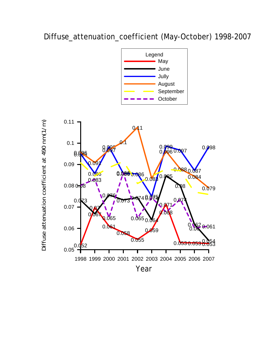Diffuse\_attenuation\_coefficient (May-October) 1998-2007



Diffuse attenuation coefficient at 490 nm(1/m)

Diffuse attenuation coefficient at 490 nm(1/m)